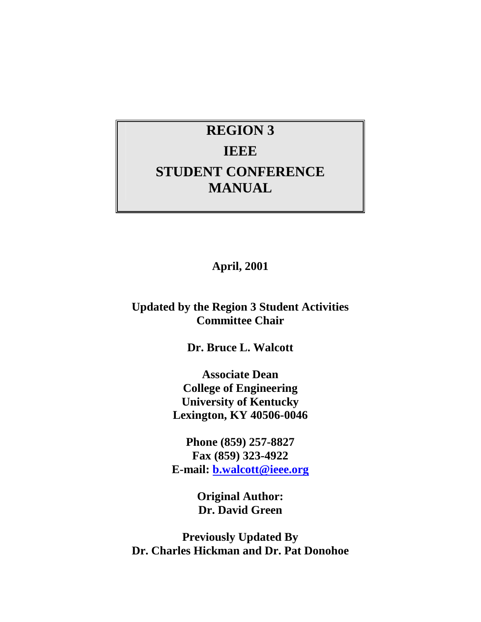# **REGION 3 IEEE STUDENT CONFERENCE MANUAL**

**April, 2001**

## **Updated by the Region 3 Student Activities Committee Chair**

**Dr. Bruce L. Walcott**

**Associate Dean College of Engineering University of Kentucky Lexington, KY 40506-0046**

**Phone (859) 257-8827 Fax (859) 323-4922 E-mail: b.walcott@ieee.org**

> **Original Author: Dr. David Green**

**Previously Updated By Dr. Charles Hickman and Dr. Pat Donohoe**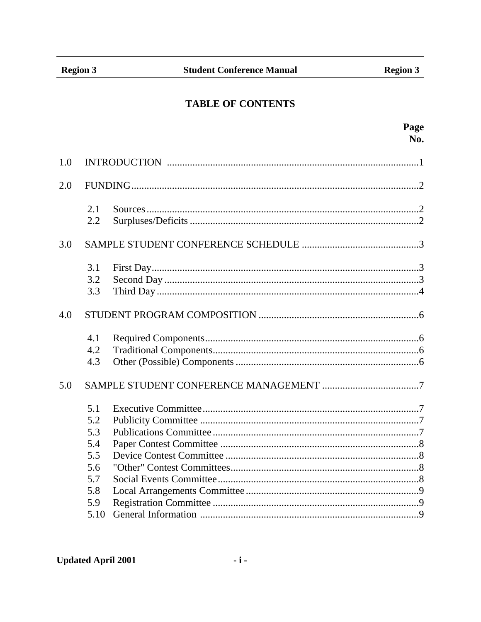## **TABLE OF CONTENTS**

|     |      | Page                                                                                                                                                                                                                                |
|-----|------|-------------------------------------------------------------------------------------------------------------------------------------------------------------------------------------------------------------------------------------|
|     |      | No.                                                                                                                                                                                                                                 |
| 1.0 |      |                                                                                                                                                                                                                                     |
| 2.0 |      |                                                                                                                                                                                                                                     |
|     | 2.1  | $Source 1, 2, 3, 4, 5, 6, 6, 7, 8, 6, 6, 7, 8, 6, 7, 8, 7, 8, 7, 8, 7, 8, 7, 8, 7, 8, 7, 8, 7, 8, 7, 8, 7, 8, 7, 8, 7, 8, 7, 8, 7, 8, 7, 8, 7, 8, 7, 8, 7, 8, 7, 8, 7, 8, 7, 8, 7, 8, 7, 8, 7, 8, 7, 8, 7, 8, 7, 8, 7, 8, 7, 8, 7,$ |
|     | 2.2  |                                                                                                                                                                                                                                     |
| 3.0 |      |                                                                                                                                                                                                                                     |
|     | 3.1  |                                                                                                                                                                                                                                     |
|     | 3.2  |                                                                                                                                                                                                                                     |
|     | 3.3  |                                                                                                                                                                                                                                     |
| 4.0 |      |                                                                                                                                                                                                                                     |
|     | 4.1  |                                                                                                                                                                                                                                     |
|     | 4.2  |                                                                                                                                                                                                                                     |
|     | 4.3  |                                                                                                                                                                                                                                     |
| 5.0 |      |                                                                                                                                                                                                                                     |
|     | 5.1  |                                                                                                                                                                                                                                     |
|     | 5.2  |                                                                                                                                                                                                                                     |
|     | 5.3  |                                                                                                                                                                                                                                     |
|     | 5.4  |                                                                                                                                                                                                                                     |
|     | 5.5  |                                                                                                                                                                                                                                     |
|     | 5.6  |                                                                                                                                                                                                                                     |
|     | 5.7  |                                                                                                                                                                                                                                     |
|     | 5.8  |                                                                                                                                                                                                                                     |
|     | 5.9  |                                                                                                                                                                                                                                     |
|     | 5.10 |                                                                                                                                                                                                                                     |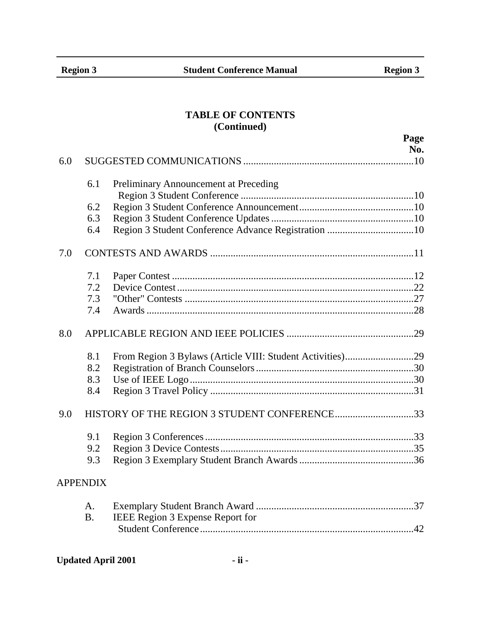## **TABLE OF CONTENTS (Continued)**

|     |                 | Page                                  |
|-----|-----------------|---------------------------------------|
|     |                 | No.                                   |
| 6.0 |                 |                                       |
|     | 6.1             | Preliminary Announcement at Preceding |
|     |                 |                                       |
|     | 6.2             |                                       |
|     | 6.3             |                                       |
|     | 6.4             |                                       |
| 7.0 |                 |                                       |
|     | 7.1             |                                       |
|     | 7.2             |                                       |
|     | 7.3             |                                       |
|     | 7.4             |                                       |
| 8.0 |                 |                                       |
|     | 8.1             |                                       |
|     | 8.2             |                                       |
|     | 8.3             |                                       |
|     | 8.4             |                                       |
| 9.0 |                 |                                       |
|     | 9.1             |                                       |
|     | 9.2             |                                       |
|     | 9.3             |                                       |
|     | <b>APPENDIX</b> |                                       |
|     | A.              |                                       |
|     | <b>B.</b>       | IEEE Region 3 Expense Report for      |
|     |                 |                                       |
|     |                 |                                       |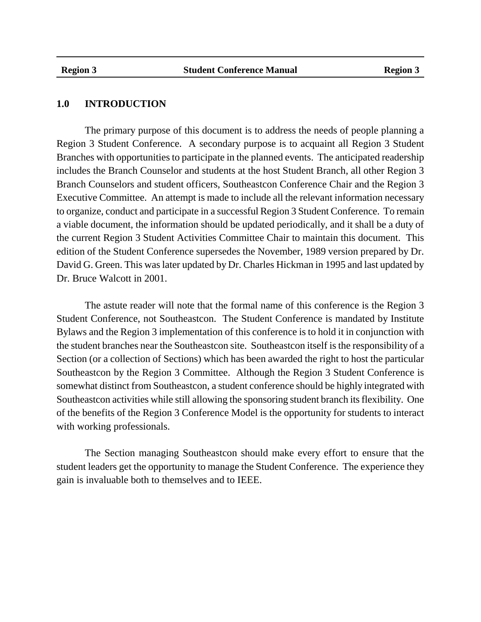#### **1.0 INTRODUCTION**

The primary purpose of this document is to address the needs of people planning a Region 3 Student Conference. A secondary purpose is to acquaint all Region 3 Student Branches with opportunities to participate in the planned events. The anticipated readership includes the Branch Counselor and students at the host Student Branch, all other Region 3 Branch Counselors and student officers, Southeastcon Conference Chair and the Region 3 Executive Committee. An attempt is made to include all the relevant information necessary to organize, conduct and participate in a successful Region 3 Student Conference. To remain a viable document, the information should be updated periodically, and it shall be a duty of the current Region 3 Student Activities Committee Chair to maintain this document. This edition of the Student Conference supersedes the November, 1989 version prepared by Dr. David G. Green. This was later updated by Dr. Charles Hickman in 1995 and last updated by Dr. Bruce Walcott in 2001.

The astute reader will note that the formal name of this conference is the Region 3 Student Conference, not Southeastcon. The Student Conference is mandated by Institute Bylaws and the Region 3 implementation of this conference is to hold it in conjunction with the student branches near the Southeastcon site. Southeastcon itself is the responsibility of a Section (or a collection of Sections) which has been awarded the right to host the particular Southeastcon by the Region 3 Committee. Although the Region 3 Student Conference is somewhat distinct from Southeastcon, a student conference should be highly integrated with Southeastcon activities while still allowing the sponsoring student branch its flexibility. One of the benefits of the Region 3 Conference Model is the opportunity for students to interact with working professionals.

The Section managing Southeastcon should make every effort to ensure that the student leaders get the opportunity to manage the Student Conference. The experience they gain is invaluable both to themselves and to IEEE.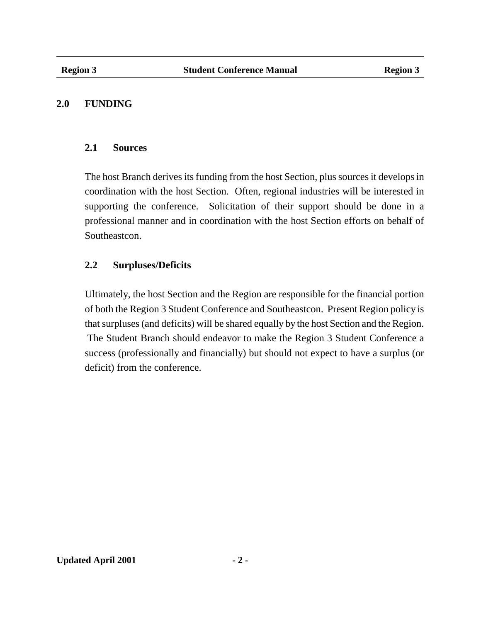#### **2.0 FUNDING**

#### **2.1 Sources**

The host Branch derives its funding from the host Section, plus sources it develops in coordination with the host Section. Often, regional industries will be interested in supporting the conference. Solicitation of their support should be done in a professional manner and in coordination with the host Section efforts on behalf of Southeastcon.

## **2.2 Surpluses/Deficits**

Ultimately, the host Section and the Region are responsible for the financial portion of both the Region 3 Student Conference and Southeastcon. Present Region policy is that surpluses (and deficits) will be shared equally by the host Section and the Region. The Student Branch should endeavor to make the Region 3 Student Conference a success (professionally and financially) but should not expect to have a surplus (or deficit) from the conference.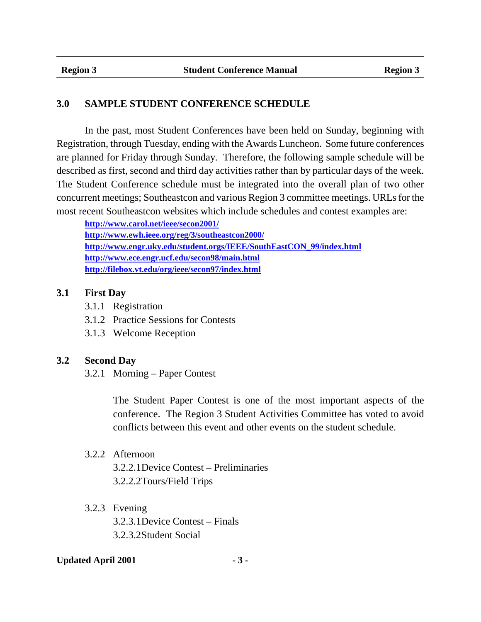#### **3.0 SAMPLE STUDENT CONFERENCE SCHEDULE**

In the past, most Student Conferences have been held on Sunday, beginning with Registration, through Tuesday, ending with the Awards Luncheon. Some future conferences are planned for Friday through Sunday. Therefore, the following sample schedule will be described as first, second and third day activities rather than by particular days of the week. The Student Conference schedule must be integrated into the overall plan of two other concurrent meetings; Southeastcon and various Region 3 committee meetings. URLs for the most recent Southeastcon websites which include schedules and contest examples are:

**http://www.carol.net/ieee/secon2001/ http://www.ewh.ieee.org/reg/3/southeastcon2000/ http://www.engr.uky.edu/student.orgs/IEEE/SouthEastCON\_99/index.html http://www.ece.engr.ucf.edu/secon98/main.html http://filebox.vt.edu/org/ieee/secon97/index.html**

#### **3.1 First Day**

- 3.1.1 Registration
- 3.1.2 Practice Sessions for Contests
- 3.1.3 Welcome Reception

#### **3.2 Second Day**

3.2.1 Morning – Paper Contest

The Student Paper Contest is one of the most important aspects of the conference. The Region 3 Student Activities Committee has voted to avoid conflicts between this event and other events on the student schedule.

#### 3.2.2 Afternoon

3.2.2.1Device Contest – Preliminaries 3.2.2.2Tours/Field Trips

#### 3.2.3 Evening

3.2.3.1Device Contest – Finals 3.2.3.2Student Social

#### Updated April 2001 **- 3 -**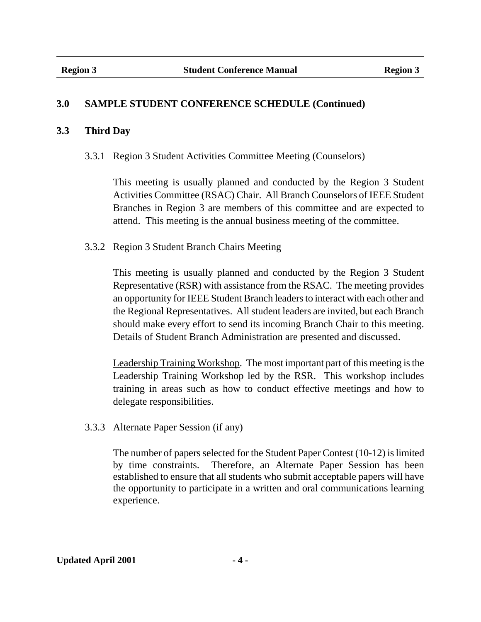## **3.0 SAMPLE STUDENT CONFERENCE SCHEDULE (Continued)**

#### **3.3 Third Day**

3.3.1 Region 3 Student Activities Committee Meeting (Counselors)

This meeting is usually planned and conducted by the Region 3 Student Activities Committee (RSAC) Chair. All Branch Counselors of IEEE Student Branches in Region 3 are members of this committee and are expected to attend. This meeting is the annual business meeting of the committee.

### 3.3.2 Region 3 Student Branch Chairs Meeting

This meeting is usually planned and conducted by the Region 3 Student Representative (RSR) with assistance from the RSAC. The meeting provides an opportunity for IEEE Student Branch leaders to interact with each other and the Regional Representatives. All student leaders are invited, but each Branch should make every effort to send its incoming Branch Chair to this meeting. Details of Student Branch Administration are presented and discussed.

Leadership Training Workshop. The most important part of this meeting is the Leadership Training Workshop led by the RSR. This workshop includes training in areas such as how to conduct effective meetings and how to delegate responsibilities.

3.3.3 Alternate Paper Session (if any)

The number of papers selected for the Student Paper Contest (10-12) is limited by time constraints. Therefore, an Alternate Paper Session has been established to ensure that all students who submit acceptable papers will have the opportunity to participate in a written and oral communications learning experience.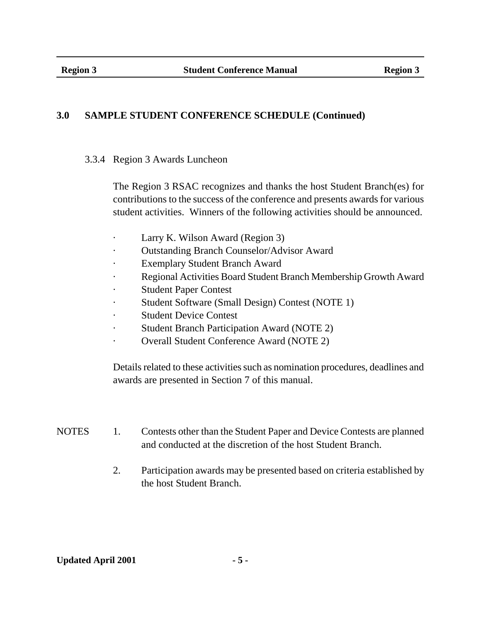## **3.0 SAMPLE STUDENT CONFERENCE SCHEDULE (Continued)**

3.3.4 Region 3 Awards Luncheon

The Region 3 RSAC recognizes and thanks the host Student Branch(es) for contributions to the success of the conference and presents awards for various student activities. Winners of the following activities should be announced.

- · Larry K. Wilson Award (Region 3)
- Outstanding Branch Counselor/Advisor Award
- **Exemplary Student Branch Award**
- Regional Activities Board Student Branch Membership Growth Award
- **Student Paper Contest**
- Student Software (Small Design) Contest (NOTE 1)
- **Student Device Contest**
- Student Branch Participation Award (NOTE 2)
- · Overall Student Conference Award (NOTE 2)

Details related to these activities such as nomination procedures, deadlines and awards are presented in Section 7 of this manual.

| <b>NOTES</b> | Contests other than the Student Paper and Device Contests are planned |
|--------------|-----------------------------------------------------------------------|
|              | and conducted at the discretion of the host Student Branch.           |

2. Participation awards may be presented based on criteria established by the host Student Branch.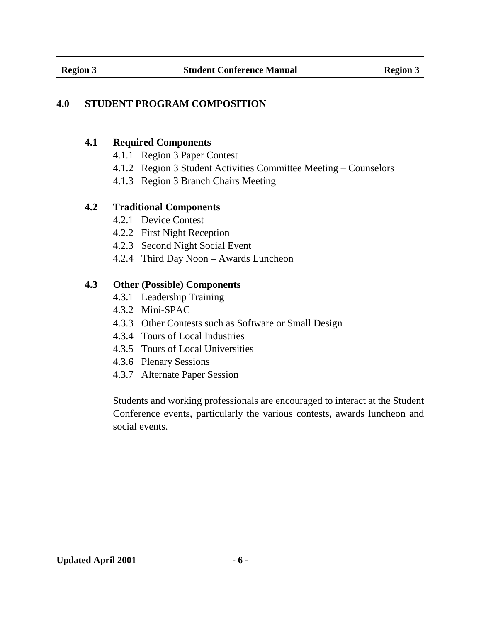## **4.0 STUDENT PROGRAM COMPOSITION**

#### **4.1 Required Components**

- 4.1.1 Region 3 Paper Contest
- 4.1.2 Region 3 Student Activities Committee Meeting Counselors
- 4.1.3 Region 3 Branch Chairs Meeting

### **4.2 Traditional Components**

- 4.2.1 Device Contest
- 4.2.2 First Night Reception
- 4.2.3 Second Night Social Event
- 4.2.4 Third Day Noon Awards Luncheon

## **4.3 Other (Possible) Components**

- 4.3.1 Leadership Training
- 4.3.2 Mini-SPAC
- 4.3.3 Other Contests such as Software or Small Design
- 4.3.4 Tours of Local Industries
- 4.3.5 Tours of Local Universities
- 4.3.6 Plenary Sessions
- 4.3.7 Alternate Paper Session

Students and working professionals are encouraged to interact at the Student Conference events, particularly the various contests, awards luncheon and social events.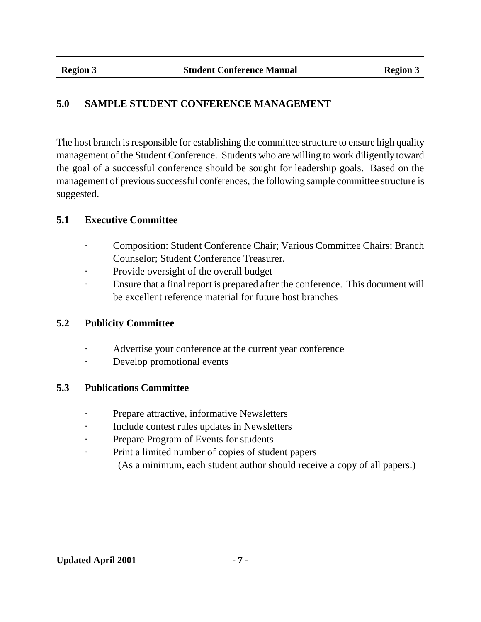## **5.0 SAMPLE STUDENT CONFERENCE MANAGEMENT**

The host branch is responsible for establishing the committee structure to ensure high quality management of the Student Conference. Students who are willing to work diligently toward the goal of a successful conference should be sought for leadership goals. Based on the management of previous successful conferences, the following sample committee structure is suggested.

## **5.1 Executive Committee**

- · Composition: Student Conference Chair; Various Committee Chairs; Branch Counselor; Student Conference Treasurer.
- · Provide oversight of the overall budget
- · Ensure that a final report is prepared after the conference. This document will be excellent reference material for future host branches

### **5.2 Publicity Committee**

- Advertise your conference at the current year conference
- · Develop promotional events

### **5.3 Publications Committee**

- · Prepare attractive, informative Newsletters
- · Include contest rules updates in Newsletters
- Prepare Program of Events for students
- Print a limited number of copies of student papers
	- (As a minimum, each student author should receive a copy of all papers.)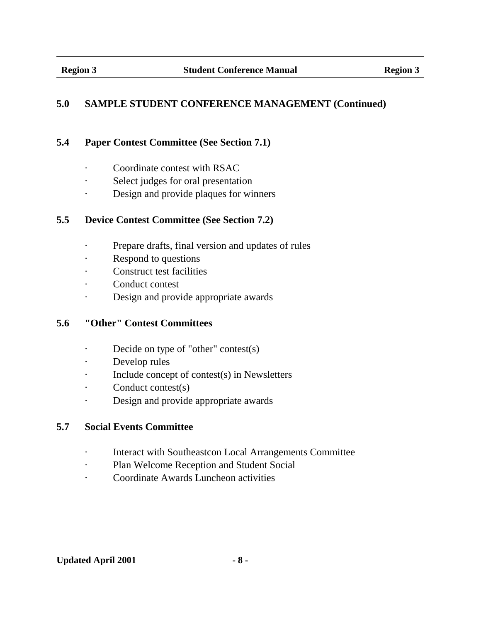## **5.0 SAMPLE STUDENT CONFERENCE MANAGEMENT (Continued)**

### **5.4 Paper Contest Committee (See Section 7.1)**

- · Coordinate contest with RSAC
- Select judges for oral presentation
- Design and provide plaques for winners

### **5.5 Device Contest Committee (See Section 7.2)**

- · Prepare drafts, final version and updates of rules
- Respond to questions
- · Construct test facilities
- Conduct contest
- · Design and provide appropriate awards

## **5.6 "Other" Contest Committees**

- · Decide on type of "other" contest(s)
- · Develop rules
- · Include concept of contest(s) in Newsletters
- Conduct contest(s)
- · Design and provide appropriate awards

### **5.7 Social Events Committee**

- · Interact with Southeastcon Local Arrangements Committee
- · Plan Welcome Reception and Student Social
- · Coordinate Awards Luncheon activities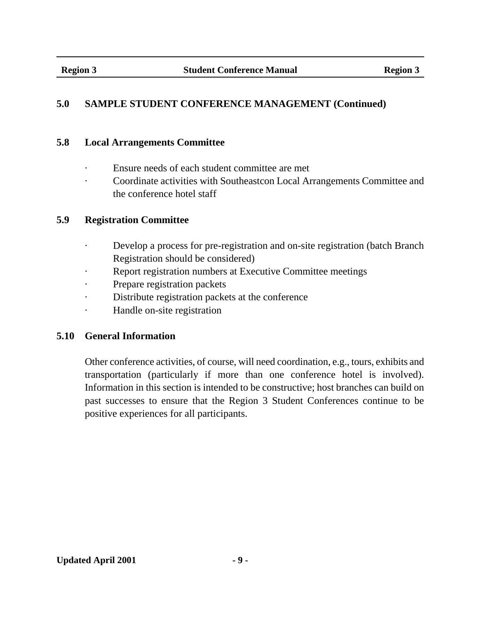## **5.0 SAMPLE STUDENT CONFERENCE MANAGEMENT (Continued)**

#### **5.8 Local Arrangements Committee**

- · Ensure needs of each student committee are met
- Coordinate activities with Southeastcon Local Arrangements Committee and the conference hotel staff

### **5.9 Registration Committee**

- · Develop a process for pre-registration and on-site registration (batch Branch Registration should be considered)
- · Report registration numbers at Executive Committee meetings
- Prepare registration packets
- · Distribute registration packets at the conference
- · Handle on-site registration

### **5.10 General Information**

Other conference activities, of course, will need coordination, e.g., tours, exhibits and transportation (particularly if more than one conference hotel is involved). Information in this section is intended to be constructive; host branches can build on past successes to ensure that the Region 3 Student Conferences continue to be positive experiences for all participants.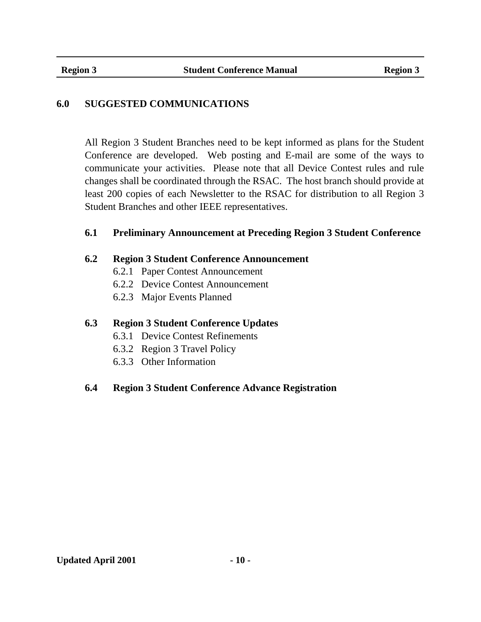## **6.0 SUGGESTED COMMUNICATIONS**

All Region 3 Student Branches need to be kept informed as plans for the Student Conference are developed. Web posting and E-mail are some of the ways to communicate your activities. Please note that all Device Contest rules and rule changes shall be coordinated through the RSAC. The host branch should provide at least 200 copies of each Newsletter to the RSAC for distribution to all Region 3 Student Branches and other IEEE representatives.

#### **6.1 Preliminary Announcement at Preceding Region 3 Student Conference**

#### **6.2 Region 3 Student Conference Announcement**

- 6.2.1 Paper Contest Announcement
- 6.2.2 Device Contest Announcement
- 6.2.3 Major Events Planned

### **6.3 Region 3 Student Conference Updates**

- 6.3.1 Device Contest Refinements
- 6.3.2 Region 3 Travel Policy
- 6.3.3 Other Information

## **6.4 Region 3 Student Conference Advance Registration**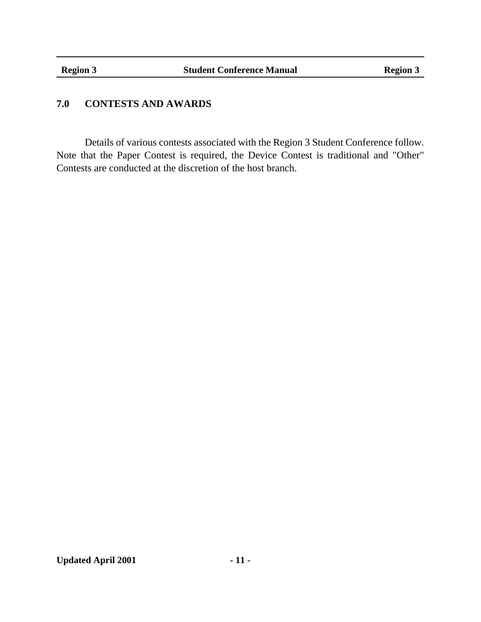## **7.0 CONTESTS AND AWARDS**

Details of various contests associated with the Region 3 Student Conference follow. Note that the Paper Contest is required, the Device Contest is traditional and "Other" Contests are conducted at the discretion of the host branch.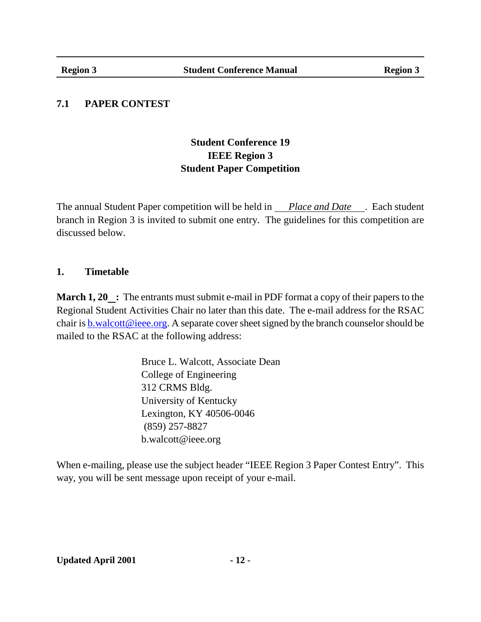## **7.1 PAPER CONTEST**

## **Student Conference 19 IEEE Region 3 Student Paper Competition**

The annual Student Paper competition will be held in *Place and Date* . Each student branch in Region 3 is invited to submit one entry. The guidelines for this competition are discussed below.

### **1. Timetable**

**March 1, 20**  $\therefore$  The entrants must submit e-mail in PDF format a copy of their papers to the Regional Student Activities Chair no later than this date. The e-mail address for the RSAC chair is  $b$ .walcott@ieee.org. A separate cover sheet signed by the branch counselor should be mailed to the RSAC at the following address:

> Bruce L. Walcott, Associate Dean College of Engineering 312 CRMS Bldg. University of Kentucky Lexington, KY 40506-0046 (859) 257-8827 b.walcott@ieee.org

When e-mailing, please use the subject header "IEEE Region 3 Paper Contest Entry". This way, you will be sent message upon receipt of your e-mail.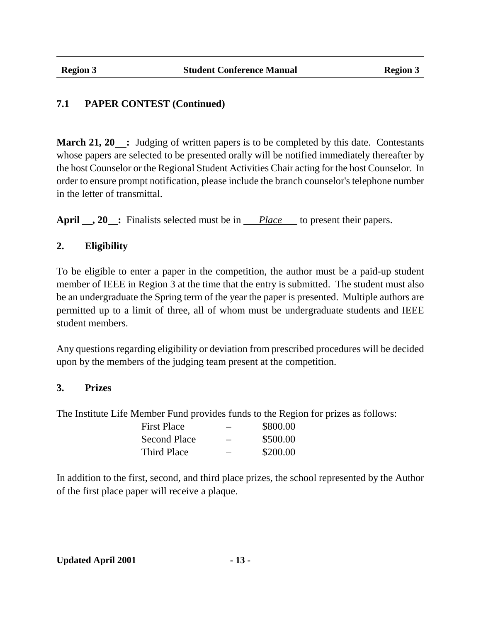**March 21, 20** : Judging of written papers is to be completed by this date. Contestants whose papers are selected to be presented orally will be notified immediately thereafter by the host Counselor or the Regional Student Activities Chair acting for the host Counselor. In order to ensure prompt notification, please include the branch counselor's telephone number in the letter of transmittal.

April  $\Box$ , 20  $\Box$ : Finalists selected must be in *Place* to present their papers.

## **2. Eligibility**

To be eligible to enter a paper in the competition, the author must be a paid-up student member of IEEE in Region 3 at the time that the entry is submitted. The student must also be an undergraduate the Spring term of the year the paper is presented. Multiple authors are permitted up to a limit of three, all of whom must be undergraduate students and IEEE student members.

Any questions regarding eligibility or deviation from prescribed procedures will be decided upon by the members of the judging team present at the competition.

### **3. Prizes**

The Institute Life Member Fund provides funds to the Region for prizes as follows:

| First Place         |   | \$800.00 |
|---------------------|---|----------|
| <b>Second Place</b> |   | \$500.00 |
| Third Place         | – | \$200.00 |

In addition to the first, second, and third place prizes, the school represented by the Author of the first place paper will receive a plaque.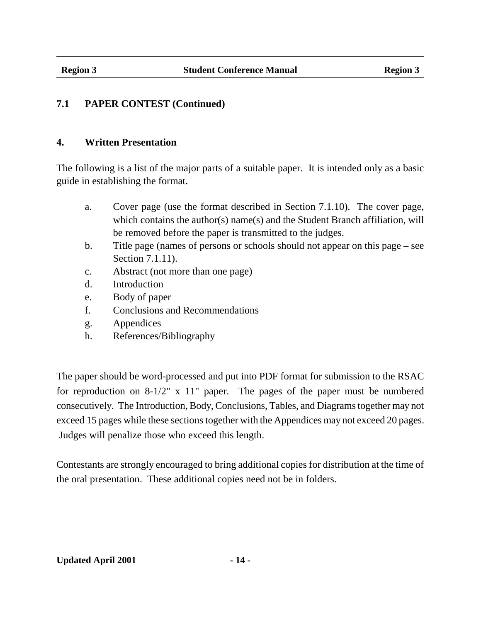#### **4. Written Presentation**

The following is a list of the major parts of a suitable paper. It is intended only as a basic guide in establishing the format.

- a. Cover page (use the format described in Section 7.1.10). The cover page, which contains the author(s) name(s) and the Student Branch affiliation, will be removed before the paper is transmitted to the judges.
- b. Title page (names of persons or schools should not appear on this page see Section 7.1.11).
- c. Abstract (not more than one page)
- d. Introduction
- e. Body of paper
- f. Conclusions and Recommendations
- g. Appendices
- h. References/Bibliography

The paper should be word-processed and put into PDF format for submission to the RSAC for reproduction on 8-1/2" x 11" paper. The pages of the paper must be numbered consecutively. The Introduction, Body, Conclusions, Tables, and Diagrams together may not exceed 15 pages while these sections together with the Appendices may not exceed 20 pages. Judges will penalize those who exceed this length.

Contestants are strongly encouraged to bring additional copies for distribution at the time of the oral presentation. These additional copies need not be in folders.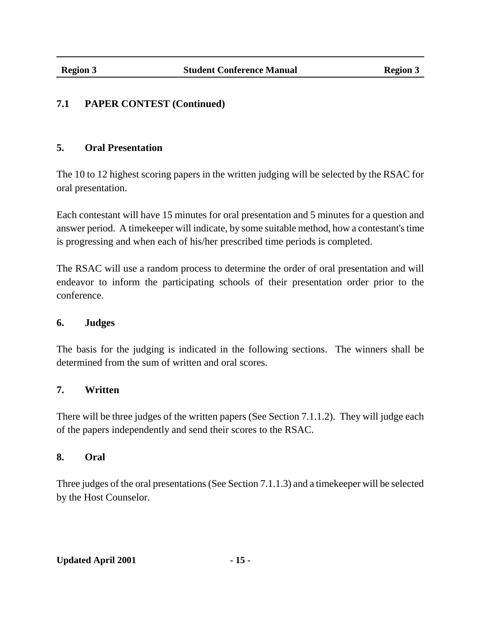## **5. Oral Presentation**

The 10 to 12 highest scoring papers in the written judging will be selected by the RSAC for oral presentation.

Each contestant will have 15 minutes for oral presentation and 5 minutes for a question and answer period. A timekeeper will indicate, by some suitable method, how a contestant's time is progressing and when each of his/her prescribed time periods is completed.

The RSAC will use a random process to determine the order of oral presentation and will endeavor to inform the participating schools of their presentation order prior to the conference.

### **6. Judges**

The basis for the judging is indicated in the following sections. The winners shall be determined from the sum of written and oral scores.

## **7. Written**

There will be three judges of the written papers (See Section 7.1.1.2). They will judge each of the papers independently and send their scores to the RSAC.

### **8. Oral**

Three judges of the oral presentations (See Section 7.1.1.3) and a timekeeper will be selected by the Host Counselor.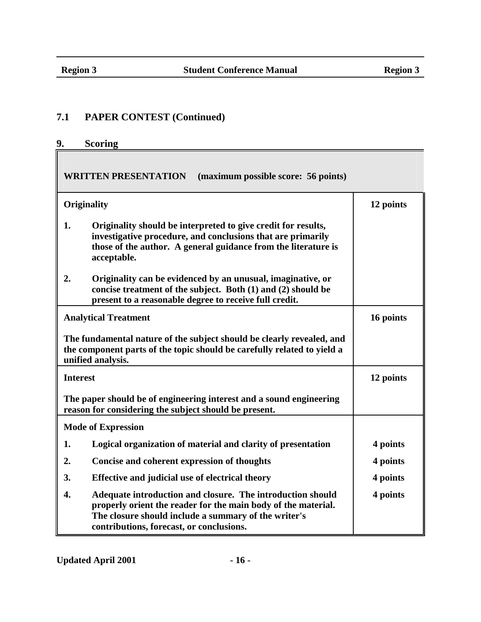## **9. Scoring**

**WRITTEN PRESENTATION (maximum possible score: 56 points)**

|                 | Originality                                                                                                                                                                                                                     | 12 points |  |
|-----------------|---------------------------------------------------------------------------------------------------------------------------------------------------------------------------------------------------------------------------------|-----------|--|
| 1.              | Originality should be interpreted to give credit for results,<br>investigative procedure, and conclusions that are primarily<br>those of the author. A general guidance from the literature is<br>acceptable.                   |           |  |
| 2.              | Originality can be evidenced by an unusual, imaginative, or<br>concise treatment of the subject. Both (1) and (2) should be<br>present to a reasonable degree to receive full credit.                                           |           |  |
|                 | <b>Analytical Treatment</b>                                                                                                                                                                                                     | 16 points |  |
|                 | The fundamental nature of the subject should be clearly revealed, and<br>the component parts of the topic should be carefully related to yield a<br>unified analysis.                                                           |           |  |
| <b>Interest</b> | 12 points                                                                                                                                                                                                                       |           |  |
|                 | The paper should be of engineering interest and a sound engineering<br>reason for considering the subject should be present.                                                                                                    |           |  |
|                 | <b>Mode of Expression</b>                                                                                                                                                                                                       |           |  |
| 1.              | Logical organization of material and clarity of presentation                                                                                                                                                                    | 4 points  |  |
| 2.              | Concise and coherent expression of thoughts                                                                                                                                                                                     | 4 points  |  |
| 3.              | Effective and judicial use of electrical theory                                                                                                                                                                                 | 4 points  |  |
| 4.              | Adequate introduction and closure. The introduction should<br>properly orient the reader for the main body of the material.<br>The closure should include a summary of the writer's<br>contributions, forecast, or conclusions. | 4 points  |  |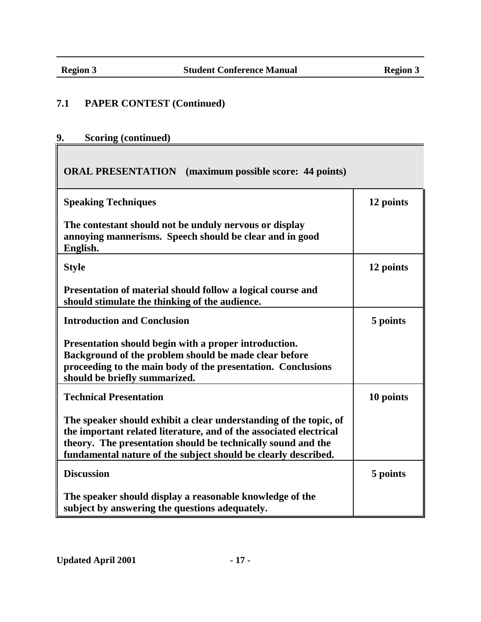## **9. Scoring (continued)**

## **ORAL PRESENTATION (maximum possible score: 44 points)**

| <b>Speaking Techniques</b>                                                                                                                                                                                                                                                | 12 points |
|---------------------------------------------------------------------------------------------------------------------------------------------------------------------------------------------------------------------------------------------------------------------------|-----------|
| The contestant should not be unduly nervous or display<br>annoying mannerisms. Speech should be clear and in good<br>English.                                                                                                                                             |           |
| <b>Style</b>                                                                                                                                                                                                                                                              | 12 points |
| Presentation of material should follow a logical course and<br>should stimulate the thinking of the audience.                                                                                                                                                             |           |
| <b>Introduction and Conclusion</b>                                                                                                                                                                                                                                        | 5 points  |
| Presentation should begin with a proper introduction.<br>Background of the problem should be made clear before<br>proceeding to the main body of the presentation. Conclusions<br>should be briefly summarized.                                                           |           |
| <b>Technical Presentation</b>                                                                                                                                                                                                                                             | 10 points |
| The speaker should exhibit a clear understanding of the topic, of<br>the important related literature, and of the associated electrical<br>theory. The presentation should be technically sound and the<br>fundamental nature of the subject should be clearly described. |           |
| <b>Discussion</b>                                                                                                                                                                                                                                                         | 5 points  |
| The speaker should display a reasonable knowledge of the<br>subject by answering the questions adequately.                                                                                                                                                                |           |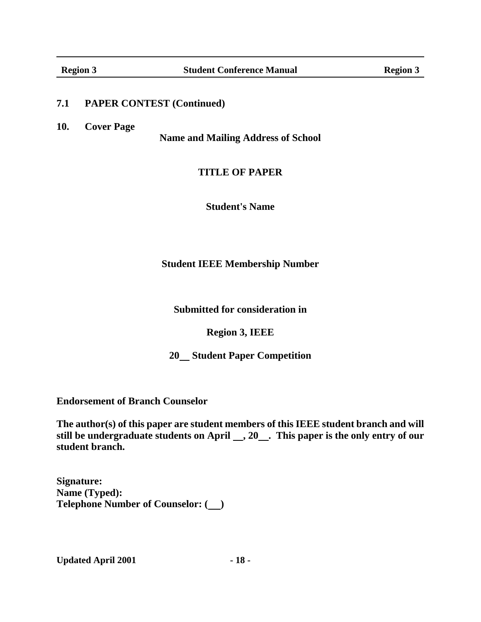**10. Cover Page**

**Name and Mailing Address of School**

#### **TITLE OF PAPER**

**Student's Name**

**Student IEEE Membership Number**

**Submitted for consideration in**

**Region 3, IEEE**

**20 Student Paper Competition**

**Endorsement of Branch Counselor**

**The author(s) of this paper are student members of this IEEE student branch and will still be undergraduate students on April , 20 . This paper is the only entry of our student branch.**

**Signature: Name (Typed): Telephone Number of Counselor: ( )**

Updated April 2001 **- 18 -**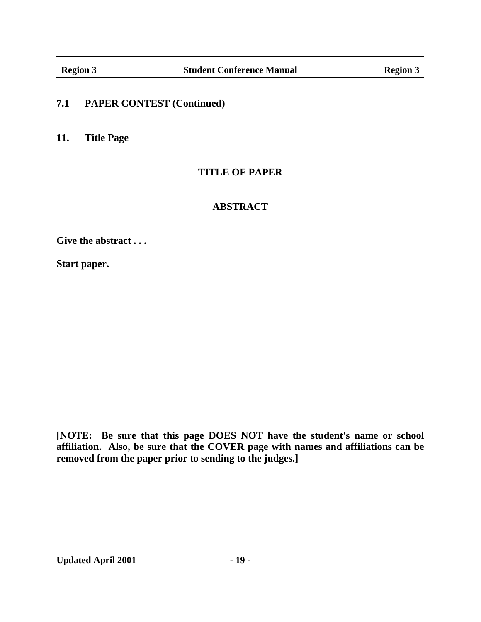**11. Title Page**

### **TITLE OF PAPER**

## **ABSTRACT**

**Give the abstract...**

**Start paper.**

**[NOTE: Be sure that this page DOES NOT have the student's name or school affiliation. Also, be sure that the COVER page with names and affiliations can be removed from the paper prior to sending to the judges.]**

Updated April 2001 **- 19 -**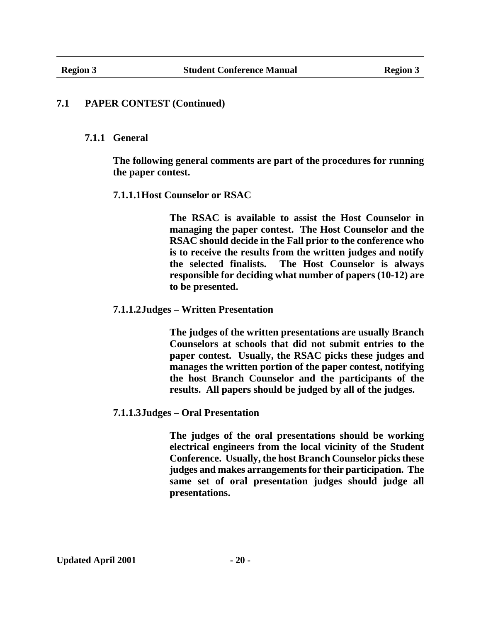#### **7.1.1 General**

**The following general comments are part of the procedures for running the paper contest.**

#### **7.1.1.1Host Counselor or RSAC**

**The RSAC is available to assist the Host Counselor in managing the paper contest. The Host Counselor and the RSAC should decide in the Fall prior to the conference who is to receive the results from the written judges and notify the selected finalists. The Host Counselor is always responsible for deciding what number of papers (10-12) are to be presented.**

#### **7.1.1.2Judges – Written Presentation**

**The judges of the written presentations are usually Branch Counselors at schools that did not submit entries to the paper contest. Usually, the RSAC picks these judges and manages the written portion of the paper contest, notifying the host Branch Counselor and the participants of the results. All papers should be judged by all of the judges.**

#### **7.1.1.3Judges – Oral Presentation**

**The judges of the oral presentations should be working electrical engineers from the local vicinity of the Student Conference. Usually, the host Branch Counselor picks these judges and makes arrangements for their participation. The same set of oral presentation judges should judge all presentations.**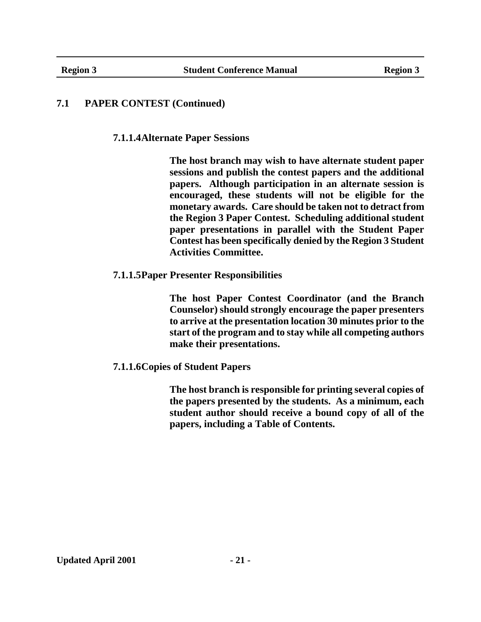**7.1.1.4Alternate Paper Sessions**

**The host branch may wish to have alternate student paper sessions and publish the contest papers and the additional papers. Although participation in an alternate session is encouraged, these students will not be eligible for the monetary awards. Care should be taken not to detract from the Region 3 Paper Contest. Scheduling additional student paper presentations in parallel with the Student Paper Contest has been specifically denied by the Region 3 Student Activities Committee.**

**7.1.1.5Paper Presenter Responsibilities**

**The host Paper Contest Coordinator (and the Branch Counselor) should strongly encourage the paper presenters to arrive at the presentation location 30 minutes prior to the start of the program and to stay while all competing authors make their presentations.**

**7.1.1.6Copies of Student Papers**

**The host branch is responsible for printing several copies of the papers presented by the students. As a minimum, each student author should receive a bound copy of all of the papers, including a Table of Contents.**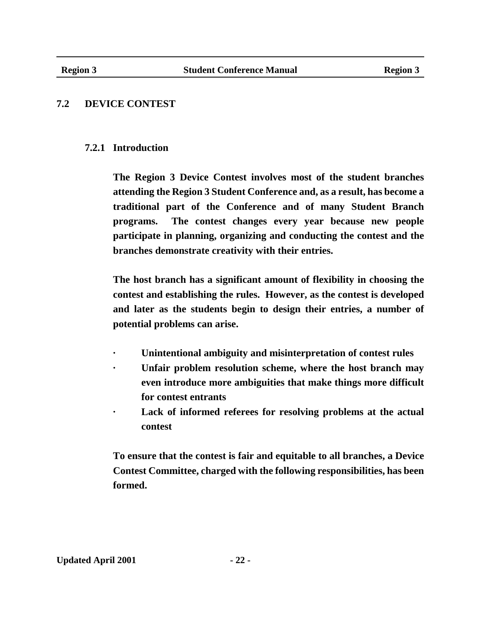## **7.2 DEVICE CONTEST**

### **7.2.1 Introduction**

**The Region 3 Device Contest involves most of the student branches attending the Region 3 Student Conference and, as a result, has become a traditional part of the Conference and of many Student Branch programs. The contest changes every year because new people participate in planning, organizing and conducting the contest and the branches demonstrate creativity with their entries.**

**The host branch has a significant amount of flexibility in choosing the contest and establishing the rules. However, as the contest is developed and later as the students begin to design their entries, a number of potential problems can arise.**

- **· Unintentional ambiguity and misinterpretation of contest rules**
- Unfair problem resolution scheme, where the host branch may **even introduce more ambiguities that make things more difficult for contest entrants**
- Lack of informed referees for resolving problems at the actual **contest**

**To ensure that the contest is fair and equitable to all branches, a Device Contest Committee, charged with the following responsibilities, has been formed.**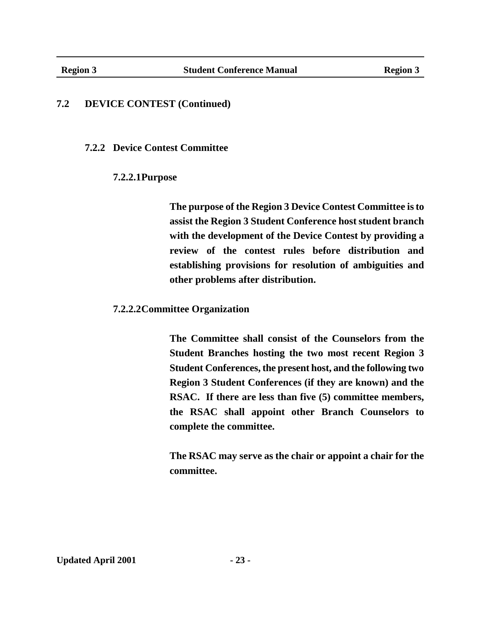#### **7.2.2 Device Contest Committee**

#### **7.2.2.1Purpose**

**The purpose of the Region 3 Device Contest Committee is to assist the Region 3 Student Conference host student branch with the development of the Device Contest by providing a review of the contest rules before distribution and establishing provisions for resolution of ambiguities and other problems after distribution.**

#### **7.2.2.2Committee Organization**

**The Committee shall consist of the Counselors from the Student Branches hosting the two most recent Region 3 Student Conferences, the present host, and the following two Region 3 Student Conferences (if they are known) and the RSAC. If there are less than five (5) committee members, the RSAC shall appoint other Branch Counselors to complete the committee.**

**The RSAC may serve as the chair or appoint a chair for the committee.**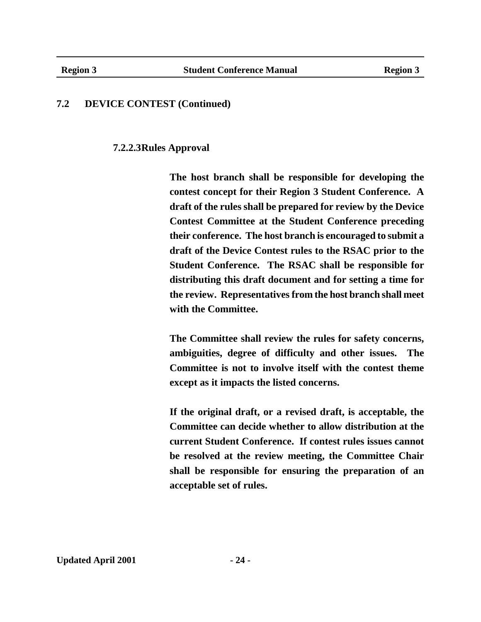**7.2.2.3Rules Approval**

**The host branch shall be responsible for developing the contest concept for their Region 3 Student Conference. A draft of the rules shall be prepared for review by the Device Contest Committee at the Student Conference preceding their conference. The host branch is encouraged to submit a draft of the Device Contest rules to the RSAC prior to the Student Conference. The RSAC shall be responsible for distributing this draft document and for setting a time for the review. Representatives from the host branch shall meet with the Committee.**

**The Committee shall review the rules for safety concerns, ambiguities, degree of difficulty and other issues. The Committee is not to involve itself with the contest theme except as it impacts the listed concerns.**

**If the original draft, or a revised draft, is acceptable, the Committee can decide whether to allow distribution at the current Student Conference. If contest rules issues cannot be resolved at the review meeting, the Committee Chair shall be responsible for ensuring the preparation of an acceptable set of rules.**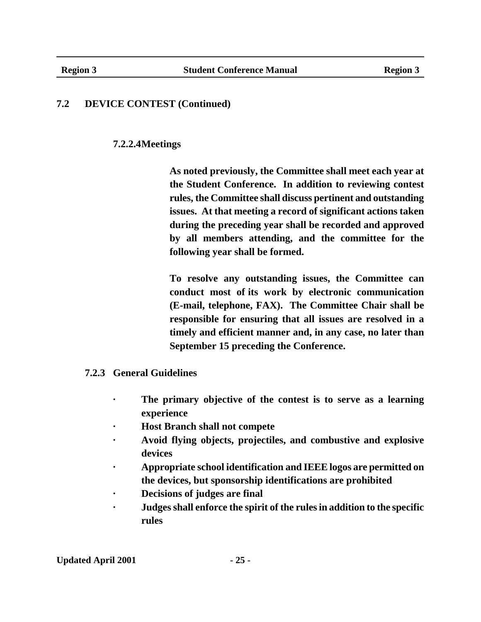## **7.2.2.4Meetings**

**As noted previously, the Committee shall meet each year at the Student Conference. In addition to reviewing contest rules, the Committee shall discuss pertinent and outstanding issues. At that meeting a record of significant actions taken during the preceding year shall be recorded and approved by all members attending, and the committee for the following year shall be formed.**

**To resolve any outstanding issues, the Committee can conduct most of its work by electronic communication (E-mail, telephone, FAX). The Committee Chair shall be responsible for ensuring that all issues are resolved in a timely and efficient manner and, in any case, no later than September 15 preceding the Conference.**

### **7.2.3 General Guidelines**

- **· The primary objective of the contest is to serve as a learning experience**
- **· Host Branch shall not compete**
- **· Avoid flying objects, projectiles, and combustive and explosive devices**
- **· Appropriate school identification and IEEE logos are permitted on the devices, but sponsorship identifications are prohibited**
- **· Decisions of judges are final**
- **· Judges shall enforce the spirit of the rules in addition to the specific rules**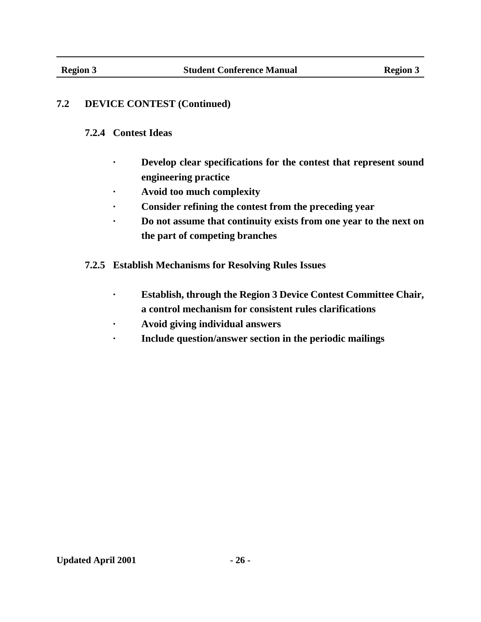#### **7.2.4 Contest Ideas**

- **· Develop clear specifications for the contest that represent sound engineering practice**
- **· Avoid too much complexity**
- **· Consider refining the contest from the preceding year**
- **· Do not assume that continuity exists from one year to the next on the part of competing branches**
- **7.2.5 Establish Mechanisms for Resolving Rules Issues**
	- **· Establish, through the Region 3 Device Contest Committee Chair, a control mechanism for consistent rules clarifications**
	- **· Avoid giving individual answers**
	- **· Include question/answer section in the periodic mailings**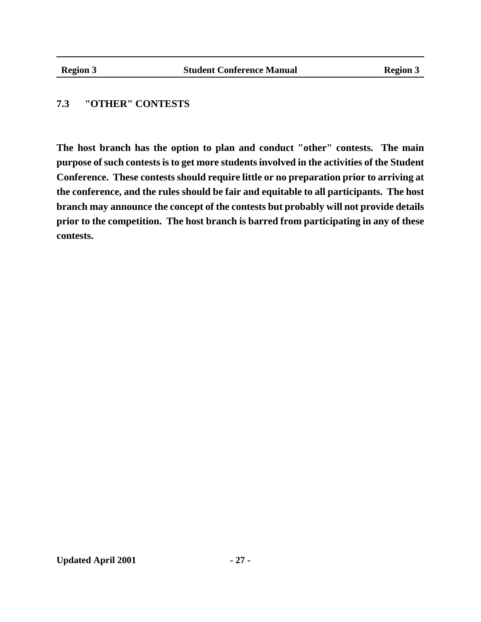## **7.3 "OTHER" CONTESTS**

**The host branch has the option to plan and conduct "other" contests. The main purpose of such contests is to get more students involved in the activities of the Student Conference. These contests should require little or no preparation prior to arriving at the conference, and the rules should be fair and equitable to all participants. The host branch may announce the concept of the contests but probably will not provide details prior to the competition. The host branch is barred from participating in any of these contests.**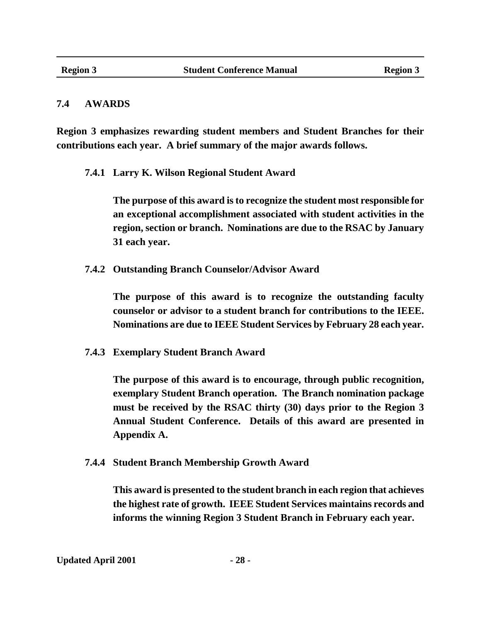#### **7.4 AWARDS**

**Region 3 emphasizes rewarding student members and Student Branches for their contributions each year. A brief summary of the major awards follows.**

**7.4.1 Larry K. Wilson Regional Student Award**

**The purpose of this award is to recognize the student most responsible for an exceptional accomplishment associated with student activities in the region, section or branch. Nominations are due to the RSAC by January 31 each year.**

**7.4.2 Outstanding Branch Counselor/Advisor Award**

**The purpose of this award is to recognize the outstanding faculty counselor or advisor to a student branch for contributions to the IEEE. Nominations are due to IEEE Student Services by February 28 each year.**

**7.4.3 Exemplary Student Branch Award**

**The purpose of this award is to encourage, through public recognition, exemplary Student Branch operation. The Branch nomination package must be received by the RSAC thirty (30) days prior to the Region 3 Annual Student Conference. Details of this award are presented in Appendix A.**

**7.4.4 Student Branch Membership Growth Award**

**This award is presented to the student branch in each region that achieves the highest rate of growth. IEEE Student Services maintains records and informs the winning Region 3 Student Branch in February each year.**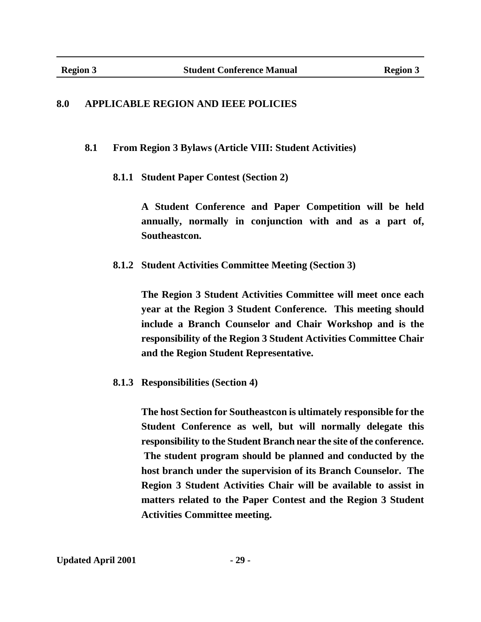#### **8.0 APPLICABLE REGION AND IEEE POLICIES**

**8.1 From Region 3 Bylaws (Article VIII: Student Activities)**

**8.1.1 Student Paper Contest (Section 2)**

**A Student Conference and Paper Competition will be held annually, normally in conjunction with and as a part of, Southeastcon.**

**8.1.2 Student Activities Committee Meeting (Section 3)**

**The Region 3 Student Activities Committee will meet once each year at the Region 3 Student Conference. This meeting should include a Branch Counselor and Chair Workshop and is the responsibility of the Region 3 Student Activities Committee Chair and the Region Student Representative.**

**8.1.3 Responsibilities (Section 4)**

**The host Section for Southeastcon is ultimately responsible for the Student Conference as well, but will normally delegate this responsibility to the Student Branch near the site of the conference. The student program should be planned and conducted by the host branch under the supervision of its Branch Counselor. The Region 3 Student Activities Chair will be available to assist in matters related to the Paper Contest and the Region 3 Student Activities Committee meeting.**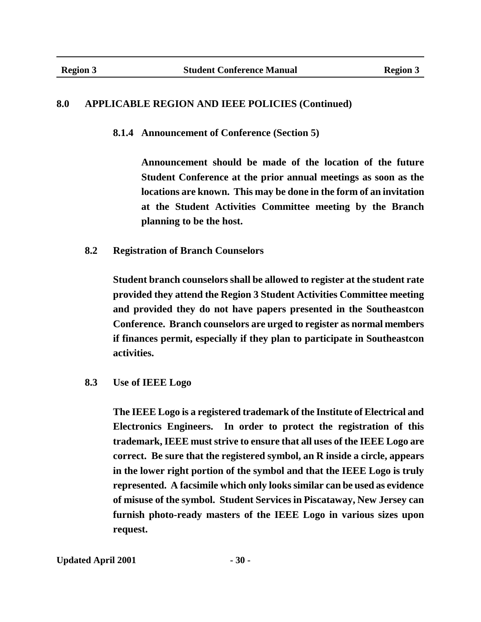#### **8.0 APPLICABLE REGION AND IEEE POLICIES (Continued)**

**8.1.4 Announcement of Conference (Section 5)**

**Announcement should be made of the location of the future Student Conference at the prior annual meetings as soon as the locations are known. This may be done in the form of an invitation at the Student Activities Committee meeting by the Branch planning to be the host.**

**8.2 Registration of Branch Counselors**

**Student branch counselors shall be allowed to register at the student rate provided they attend the Region 3 Student Activities Committee meeting and provided they do not have papers presented in the Southeastcon Conference. Branch counselors are urged to register as normal members if finances permit, especially if they plan to participate in Southeastcon activities.**

**8.3 Use of IEEE Logo**

**The IEEE Logo is a registered trademark of the Institute of Electrical and Electronics Engineers. In order to protect the registration of this trademark, IEEE must strive to ensure that all uses of the IEEE Logo are correct. Be sure that the registered symbol, an R inside a circle, appears in the lower right portion of the symbol and that the IEEE Logo is truly represented. A facsimile which only looks similar can be used as evidence of misuse of the symbol. Student Services in Piscataway, New Jersey can furnish photo-ready masters of the IEEE Logo in various sizes upon request.**

Updated April 2001 **- 30 -**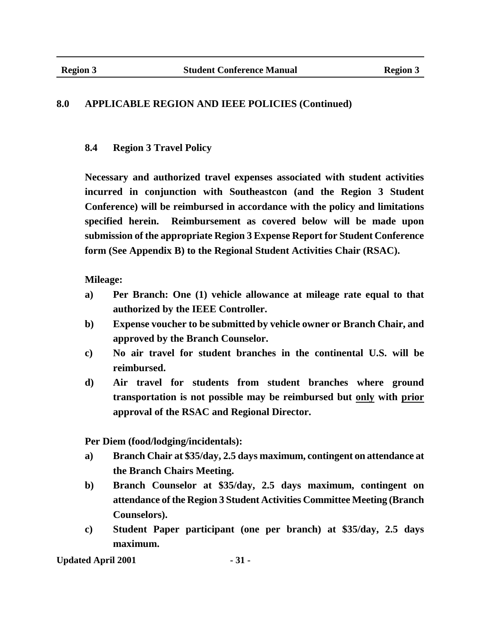## **8.0 APPLICABLE REGION AND IEEE POLICIES (Continued)**

## **8.4 Region 3 Travel Policy**

**Necessary and authorized travel expenses associated with student activities incurred in conjunction with Southeastcon (and the Region 3 Student Conference) will be reimbursed in accordance with the policy and limitations specified herein. Reimbursement as covered below will be made upon submission of the appropriate Region 3 Expense Report for Student Conference form (See Appendix B) to the Regional Student Activities Chair (RSAC).**

### **Mileage:**

- **a) Per Branch: One (1) vehicle allowance at mileage rate equal to that authorized by the IEEE Controller.**
- **b) Expense voucher to be submitted by vehicle owner or Branch Chair, and approved by the Branch Counselor.**
- **c) No air travel for student branches in the continental U.S. will be reimbursed.**
- **d) Air travel for students from student branches where ground transportation is not possible may be reimbursed but only with prior approval of the RSAC and Regional Director.**

**Per Diem (food/lodging/incidentals):**

- **a) Branch Chair at \$35/day, 2.5 days maximum, contingent on attendance at the Branch Chairs Meeting.**
- **b) Branch Counselor at \$35/day, 2.5 days maximum, contingent on attendance of the Region 3 Student Activities Committee Meeting (Branch Counselors).**
- **c) Student Paper participant (one per branch) at \$35/day, 2.5 days maximum.**

Updated April 2001 **- 31 -**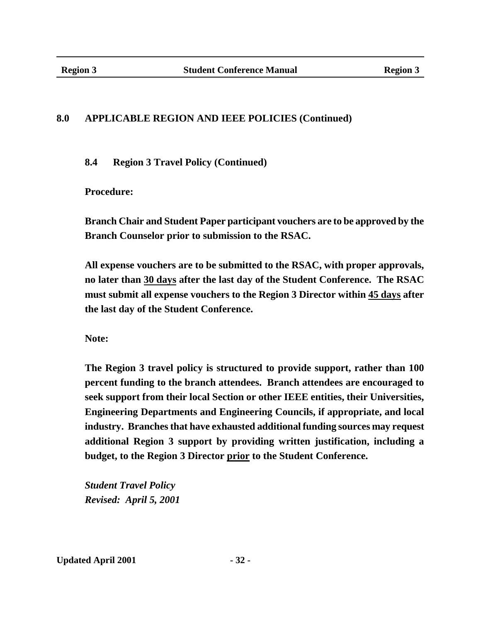## **8.0 APPLICABLE REGION AND IEEE POLICIES (Continued)**

**8.4 Region 3 Travel Policy (Continued)**

**Procedure:**

**Branch Chair and Student Paper participant vouchers are to be approved by the Branch Counselor prior to submission to the RSAC.**

**All expense vouchers are to be submitted to the RSAC, with proper approvals, no later than 30 days after the last day of the Student Conference. The RSAC must submit all expense vouchers to the Region 3 Director within 45 days after the last day of the Student Conference.**

**Note:**

**The Region 3 travel policy is structured to provide support, rather than 100 percent funding to the branch attendees. Branch attendees are encouraged to seek support from their local Section or other IEEE entities, their Universities, Engineering Departments and Engineering Councils, if appropriate, and local industry. Branches that have exhausted additional funding sources may request additional Region 3 support by providing written justification, including a budget, to the Region 3 Director prior to the Student Conference.**

*Student Travel Policy Revised: April 5, 2001*

Updated April 2001 **- 32 -**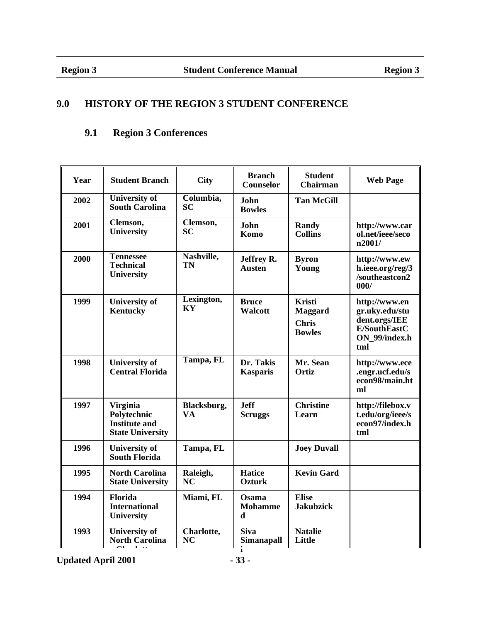## **9.0 HISTORY OF THE REGION 3 STUDENT CONFERENCE**

## **9.1 Region 3 Conferences**

| Year | <b>Student Branch</b>                                                             | <b>City</b>              | <b>Branch</b><br>Counselor             | <b>Student</b><br>Chairman                                       | <b>Web Page</b>                                                                          |
|------|-----------------------------------------------------------------------------------|--------------------------|----------------------------------------|------------------------------------------------------------------|------------------------------------------------------------------------------------------|
| 2002 | <b>University of</b><br><b>South Carolina</b>                                     | Columbia,<br><b>SC</b>   | John<br><b>Bowles</b>                  | <b>Tan McGill</b>                                                |                                                                                          |
| 2001 | Clemson,<br><b>University</b>                                                     | Clemson,<br><b>SC</b>    | John<br>Komo                           | Randy<br><b>Collins</b>                                          | http://www.car<br>ol.net/ieee/seco<br>n2001/                                             |
| 2000 | <b>Tennessee</b><br><b>Technical</b><br>University                                | Nashville,<br>TN         | Jeffrey R.<br>Austen                   | <b>Byron</b><br>Young                                            | http://www.ew<br>h.ieee.org/reg/3<br>/southeastcon2<br>000/                              |
| 1999 | <b>University of</b><br>Kentucky                                                  | Lexington,<br>KY         | <b>Bruce</b><br><b>Walcott</b>         | <b>Kristi</b><br><b>Maggard</b><br><b>Chris</b><br><b>Bowles</b> | http://www.en<br>gr.uky.edu/stu<br>dent.orgs/IEE<br>E/SouthEastC<br>ON_99/index.h<br>tml |
| 1998 | <b>University of</b><br><b>Central Florida</b>                                    | Tampa, FL                | Dr. Takis<br><b>Kasparis</b>           | Mr. Sean<br>Ortiz                                                | http://www.ece<br>.engr.ucf.edu/s<br>econ98/main.ht<br>ml                                |
| 1997 | <b>Virginia</b><br>Polytechnic<br><b>Institute and</b><br><b>State University</b> | Blacksburg,<br><b>VA</b> | <b>Jeff</b><br><b>Scruggs</b>          | <b>Christine</b><br>Learn                                        | http://filebox.v<br>t.edu/org/ieee/s<br>econ97/index.h<br>tml                            |
| 1996 | <b>University of</b><br><b>South Florida</b>                                      | Tampa, FL                |                                        | <b>Joey Duvall</b>                                               |                                                                                          |
| 1995 | <b>North Carolina</b><br><b>State University</b>                                  | Raleigh,<br><b>NC</b>    | <b>Hatice</b><br><b>Ozturk</b>         | <b>Kevin Gard</b>                                                |                                                                                          |
| 1994 | Florida<br><b>International</b><br>University                                     | Miami, FL                | Osama<br><b>Mohamme</b><br>$\mathbf d$ | <b>Elise</b><br><b>Jakubzick</b>                                 |                                                                                          |
| 1993 | <b>University of</b><br><b>North Carolina</b>                                     | Charlotte,<br>NC         | <b>Siva</b><br><b>Simanapall</b>       | <b>Natalie</b><br>Little                                         |                                                                                          |

Updated April 2001 **- 33 -**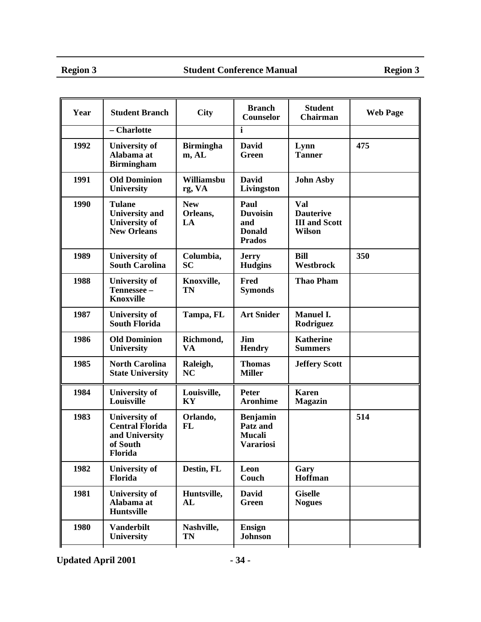#### Region 3 Student Conference Manual Region 3

| Year | <b>Student Branch</b>                                                                   | <b>City</b>                  | <b>Branch</b><br>Counselor                                       | <b>Student</b><br>Chairman                                       | <b>Web Page</b> |
|------|-----------------------------------------------------------------------------------------|------------------------------|------------------------------------------------------------------|------------------------------------------------------------------|-----------------|
|      | - Charlotte                                                                             |                              | $\mathbf{i}$                                                     |                                                                  |                 |
| 1992 | <b>University of</b><br>Alabama at<br><b>Birmingham</b>                                 | <b>Birmingha</b><br>m, AL    | <b>David</b><br>Green                                            | Lynn<br><b>Tanner</b>                                            | 475             |
| 1991 | <b>Old Dominion</b><br>University                                                       | Williamsbu<br>rg, VA         | <b>David</b><br>Livingston                                       | <b>John Asby</b>                                                 |                 |
| 1990 | <b>Tulane</b><br><b>University</b> and<br><b>University of</b><br><b>New Orleans</b>    | <b>New</b><br>Orleans,<br>LA | Paul<br><b>Duvoisin</b><br>and<br><b>Donald</b><br><b>Prados</b> | Val<br><b>Dauterive</b><br><b>III</b> and Scott<br><b>Wilson</b> |                 |
| 1989 | <b>University of</b><br><b>South Carolina</b>                                           | Columbia,<br><b>SC</b>       | <b>Jerry</b><br><b>Hudgins</b>                                   | <b>Bill</b><br>Westbrock                                         | 350             |
| 1988 | <b>University of</b><br>Tennessee -<br><b>Knoxville</b>                                 | Knoxville,<br>TN             | Fred<br><b>Symonds</b>                                           | <b>Thao Pham</b>                                                 |                 |
| 1987 | <b>University of</b><br><b>South Florida</b>                                            | Tampa, FL                    | <b>Art Snider</b>                                                | <b>Manuel I.</b><br>Rodriguez                                    |                 |
| 1986 | <b>Old Dominion</b><br><b>University</b>                                                | Richmond,<br>VA              | Jim<br><b>Hendry</b>                                             | <b>Katherine</b><br><b>Summers</b>                               |                 |
| 1985 | <b>North Carolina</b><br><b>State University</b>                                        | Raleigh,<br><b>NC</b>        | <b>Thomas</b><br><b>Miller</b>                                   | <b>Jeffery Scott</b>                                             |                 |
| 1984 | <b>University of</b><br>Louisville                                                      | Louisville,<br>KY            | <b>Peter</b><br><b>Aronhime</b>                                  | <b>Karen</b><br><b>Magazin</b>                                   |                 |
| 1983 | <b>University of</b><br><b>Central Florida</b><br>and University<br>of South<br>Florida | Orlando,<br><b>FL</b>        | <b>Benjamin</b><br>Patz and<br><b>Mucali</b><br><b>Varariosi</b> |                                                                  | 514             |
| 1982 | <b>University of</b><br>Florida                                                         | Destin, FL                   | Leon<br>Couch                                                    | Gary<br>Hoffman                                                  |                 |
| 1981 | <b>University of</b><br>Alabama at<br><b>Huntsville</b>                                 | Huntsville,<br>AL            | David<br>Green                                                   | <b>Giselle</b><br><b>Nogues</b>                                  |                 |
| 1980 | <b>Vanderbilt</b><br><b>University</b>                                                  | Nashville,<br>TN             | <b>Ensign</b><br><b>Johnson</b>                                  |                                                                  |                 |

**Updated April 2001 - 34 -**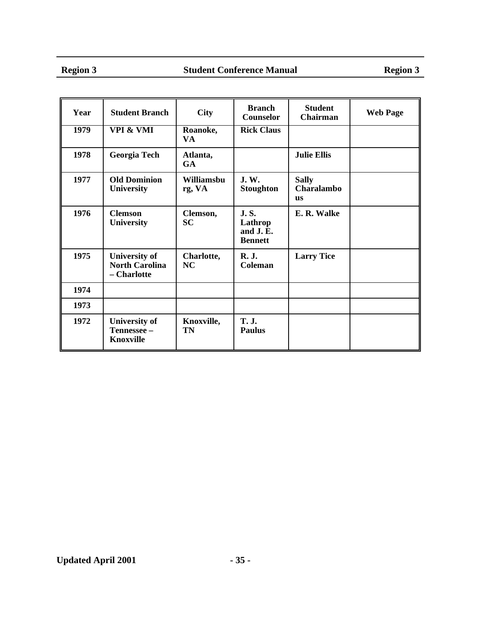| Year | <b>Student Branch</b>                                        | <b>City</b>             | <b>Branch</b><br>Counselor                           | <b>Student</b><br>Chairman              | <b>Web Page</b> |
|------|--------------------------------------------------------------|-------------------------|------------------------------------------------------|-----------------------------------------|-----------------|
| 1979 | <b>VPI &amp; VMI</b>                                         | Roanoke,<br>VA.         | <b>Rick Claus</b>                                    |                                         |                 |
| 1978 | Georgia Tech                                                 | Atlanta,<br><b>GA</b>   |                                                      | <b>Julie Ellis</b>                      |                 |
| 1977 | <b>Old Dominion</b><br><b>University</b>                     | Williamsbu<br>rg, VA    | <b>J.W.</b><br><b>Stoughton</b>                      | <b>Sally</b><br>Charalambo<br><b>us</b> |                 |
| 1976 | <b>Clemson</b><br><b>University</b>                          | Clemson,<br><b>SC</b>   | <b>J.S.</b><br>Lathrop<br>and J.E.<br><b>Bennett</b> | E. R. Walke                             |                 |
| 1975 | <b>University of</b><br><b>North Carolina</b><br>- Charlotte | Charlotte,<br><b>NC</b> | <b>R. J.</b><br>Coleman                              | <b>Larry Tice</b>                       |                 |
| 1974 |                                                              |                         |                                                      |                                         |                 |
| 1973 |                                                              |                         |                                                      |                                         |                 |
| 1972 | <b>University of</b><br>Tennessee -<br><b>Knoxville</b>      | Knoxville,<br>TN        | <b>T. J.</b><br><b>Paulus</b>                        |                                         |                 |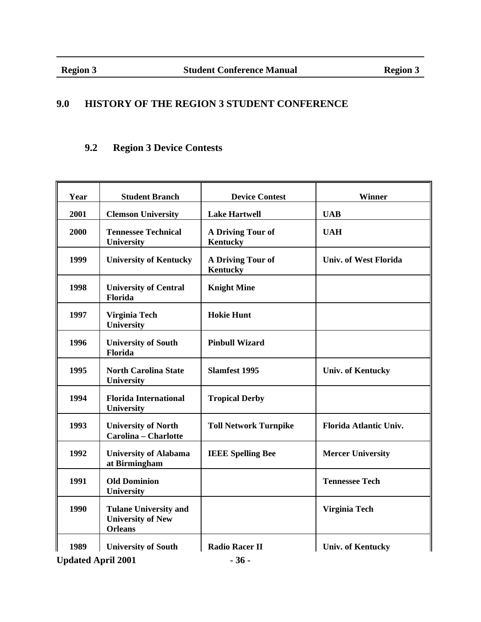## **9.0 HISTORY OF THE REGION 3 STUDENT CONFERENCE**

## **9.2 Region 3 Device Contests**

| Year | <b>Student Branch</b>                                                      | <b>Device Contest</b>                | Winner                       |
|------|----------------------------------------------------------------------------|--------------------------------------|------------------------------|
| 2001 | <b>Clemson University</b>                                                  | <b>Lake Hartwell</b>                 | <b>UAB</b>                   |
| 2000 | <b>Tennessee Technical</b><br>University                                   | A Driving Tour of<br><b>Kentucky</b> | <b>UAH</b>                   |
| 1999 | <b>University of Kentucky</b>                                              | A Driving Tour of<br><b>Kentucky</b> | <b>Univ. of West Florida</b> |
| 1998 | <b>University of Central</b><br>Florida                                    | <b>Knight Mine</b>                   |                              |
| 1997 | Virginia Tech<br>University                                                | <b>Hokie Hunt</b>                    |                              |
| 1996 | <b>University of South</b><br>Florida                                      | <b>Pinbull Wizard</b>                |                              |
| 1995 | <b>North Carolina State</b><br>University                                  | <b>Slamfest 1995</b>                 | <b>Univ. of Kentucky</b>     |
| 1994 | <b>Florida International</b><br>University                                 | <b>Tropical Derby</b>                |                              |
| 1993 | <b>University of North</b><br>Carolina - Charlotte                         | <b>Toll Network Turnpike</b>         | Florida Atlantic Univ.       |
| 1992 | <b>University of Alabama</b><br>at Birmingham                              | <b>IEEE Spelling Bee</b>             | <b>Mercer University</b>     |
| 1991 | <b>Old Dominion</b><br><b>University</b>                                   |                                      | <b>Tennessee Tech</b>        |
| 1990 | <b>Tulane University and</b><br><b>University of New</b><br><b>Orleans</b> |                                      | Virginia Tech                |
| 1989 | <b>University of South</b>                                                 | <b>Radio Racer II</b>                | <b>Univ. of Kentucky</b>     |

Updated April 2001 **- 36 -**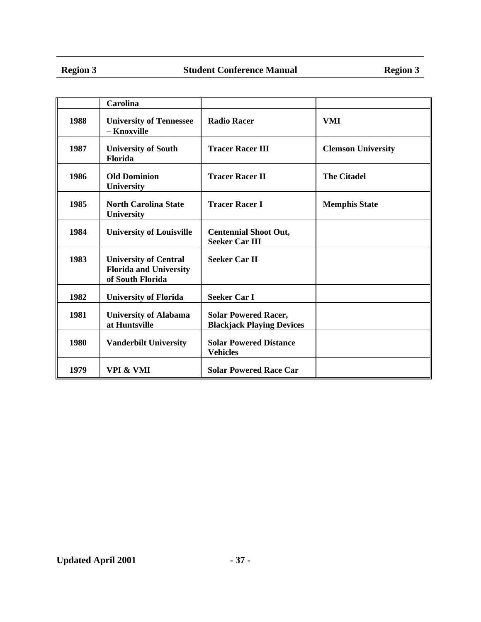|      | <b>Carolina</b>                                                                   |                                                                 |                           |
|------|-----------------------------------------------------------------------------------|-----------------------------------------------------------------|---------------------------|
| 1988 | <b>University of Tennessee</b><br>- Knoxville                                     | <b>Radio Racer</b>                                              | VMI                       |
| 1987 | <b>University of South</b><br><b>Florida</b>                                      | <b>Tracer Racer III</b>                                         | <b>Clemson University</b> |
| 1986 | <b>Old Dominion</b><br>University                                                 | <b>Tracer Racer II</b>                                          | <b>The Citadel</b>        |
| 1985 | <b>North Carolina State</b><br><b>University</b>                                  | <b>Tracer Racer I</b>                                           | <b>Memphis State</b>      |
| 1984 | <b>University of Louisville</b>                                                   | <b>Centennial Shoot Out,</b><br><b>Seeker Car III</b>           |                           |
| 1983 | <b>University of Central</b><br><b>Florida and University</b><br>of South Florida | <b>Seeker Car II</b>                                            |                           |
| 1982 | <b>University of Florida</b>                                                      | <b>Seeker Car I</b>                                             |                           |
| 1981 | <b>University of Alabama</b><br>at Huntsville                                     | <b>Solar Powered Racer,</b><br><b>Blackjack Playing Devices</b> |                           |
| 1980 | <b>Vanderbilt University</b>                                                      | <b>Solar Powered Distance</b><br><b>Vehicles</b>                |                           |
| 1979 | VPI & VMI                                                                         | <b>Solar Powered Race Car</b>                                   |                           |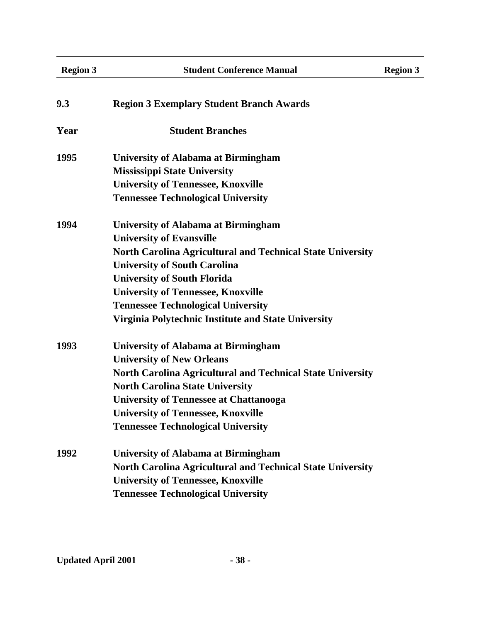| <b>Region 3</b> | <b>Student Conference Manual</b>                                  | <b>Region 3</b> |
|-----------------|-------------------------------------------------------------------|-----------------|
| 9.3             | <b>Region 3 Exemplary Student Branch Awards</b>                   |                 |
| Year            | <b>Student Branches</b>                                           |                 |
| 1995            | <b>University of Alabama at Birmingham</b>                        |                 |
|                 | <b>Mississippi State University</b>                               |                 |
|                 | <b>University of Tennessee, Knoxville</b>                         |                 |
|                 | <b>Tennessee Technological University</b>                         |                 |
| 1994            | <b>University of Alabama at Birmingham</b>                        |                 |
|                 | <b>University of Evansville</b>                                   |                 |
|                 | <b>North Carolina Agricultural and Technical State University</b> |                 |
|                 | <b>University of South Carolina</b>                               |                 |
|                 | <b>University of South Florida</b>                                |                 |
|                 | <b>University of Tennessee, Knoxville</b>                         |                 |
|                 | <b>Tennessee Technological University</b>                         |                 |
|                 | Virginia Polytechnic Institute and State University               |                 |
| 1993            | University of Alabama at Birmingham                               |                 |
|                 | <b>University of New Orleans</b>                                  |                 |
|                 | <b>North Carolina Agricultural and Technical State University</b> |                 |
|                 | <b>North Carolina State University</b>                            |                 |
|                 | <b>University of Tennessee at Chattanooga</b>                     |                 |
|                 | <b>University of Tennessee, Knoxville</b>                         |                 |
|                 | <b>Tennessee Technological University</b>                         |                 |
| 1992            | <b>University of Alabama at Birmingham</b>                        |                 |
|                 | <b>North Carolina Agricultural and Technical State University</b> |                 |
|                 | <b>University of Tennessee, Knoxville</b>                         |                 |
|                 | <b>Tennessee Technological University</b>                         |                 |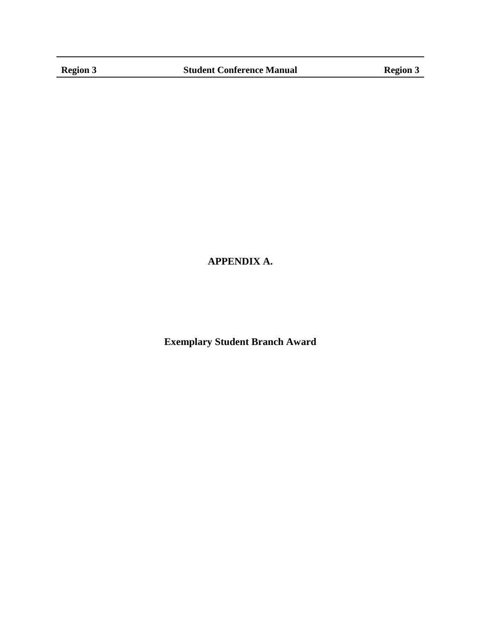## **APPENDIX A.**

**Exemplary Student Branch Award**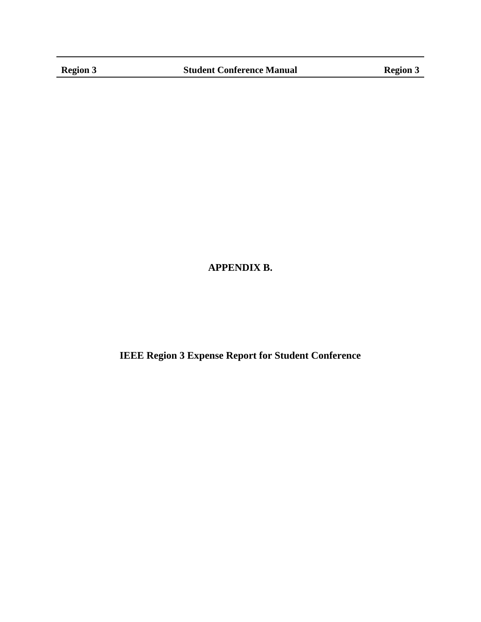## **APPENDIX B.**

**IEEE Region 3 Expense Report for Student Conference**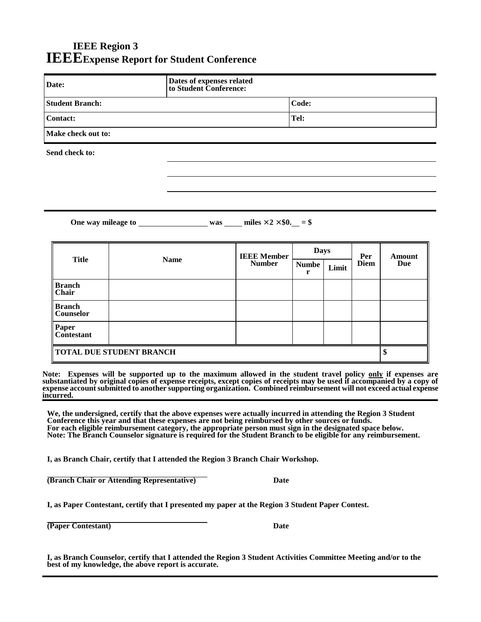## **IEEE Region 3 IEEEExpense Report for Student Conference**

| Date:                              | Dates of expenses related<br>to Student Conference: |  |  |
|------------------------------------|-----------------------------------------------------|--|--|
| <b>Student Branch:</b>             | Code:                                               |  |  |
| <b>Contact:</b>                    | Tel:                                                |  |  |
| Make check out to:                 |                                                     |  |  |
| Send check to:                     |                                                     |  |  |
|                                    |                                                     |  |  |
|                                    |                                                     |  |  |
|                                    |                                                     |  |  |
| One way mileage to <b>solution</b> | was miles $\times$ 2 $\times$ \$0. = \$             |  |  |

| <b>Title</b>                      | <b>Name</b> | <b>IEEE Member</b><br><b>Number</b> | <b>Days</b>  |       | Per         | Amount |
|-----------------------------------|-------------|-------------------------------------|--------------|-------|-------------|--------|
|                                   |             |                                     | <b>Numbe</b> | Limit | <b>Diem</b> | Due    |
| <b>Branch</b><br><b>Chair</b>     |             |                                     |              |       |             |        |
| <b>Branch</b><br><b>Counselor</b> |             |                                     |              |       |             |        |
| Paper<br>Contestant               |             |                                     |              |       |             |        |
| <b>TOTAL DUE STUDENT BRANCH</b>   |             |                                     |              |       |             |        |

**Note: Expenses will be supported up to the maximum allowed in the student travel policy only if expenses are substantiated by original copies of expense receipts, except copies of receipts may be used if accompanied by a copy of expense account submitted to another supporting organization. Combined reimbursement will not exceed actual expense incurred.**

**We, the undersigned, certify that the above expenses were actually incurred in attending the Region 3 Student Conference this year and that these expenses are not being reimbursed by other sources or funds. For each eligible reimbursement category, the appropriate person must sign in the designated space below. Note: The Branch Counselor signature is required for the Student Branch to be eligible for any reimbursement.**

**I, as Branch Chair, certify that I attended the Region 3 Branch Chair Workshop.**

**(Branch Chair or Attending Representative) Date**

**I, as Paper Contestant, certify that I presented my paper at the Region 3 Student Paper Contest.**

**(Paper Contestant)** Date

**I, as Branch Counselor, certify that I attended the Region 3 Student Activities Committee Meeting and/or to the best of my knowledge, the above report is accurate.**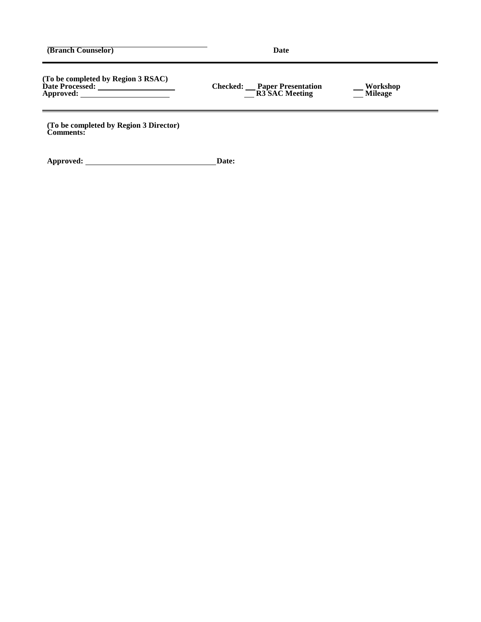**(Branch Counselor) Date**

**(To be completed by Region 3 RSAC) Date Processed: Checked: Paper Presentation Workshop**  $\begin{array}{c|c|c|c} \hline \text{Approved:} & \text{\textcolor{red}{\bf 1}} & \text{\textcolor{red}{\bf 2}} & \text{\textcolor{red}{\bf 3}} & \text{\textcolor{red}{\bf 4}} & \text{\textcolor{red}{\bf 5}} & \text{\textcolor{red}{\bf 6}} & \text{\textcolor{red}{\bf 7}} & \text{\textcolor{red}{\bf 8}} & \text{\textcolor{red}{\bf 9}} & \text{\textcolor{red}{\bf 9}} & \text{\textcolor{red}{\bf 9}} & \text{\textcolor{red}{\bf 9}} & \text{\textcolor{red}{\bf 9}} & \text{\textcolor{red}{\bf 9}}$ 

**(To be completed by Region 3 Director) Comments:**

**Approved: Date:**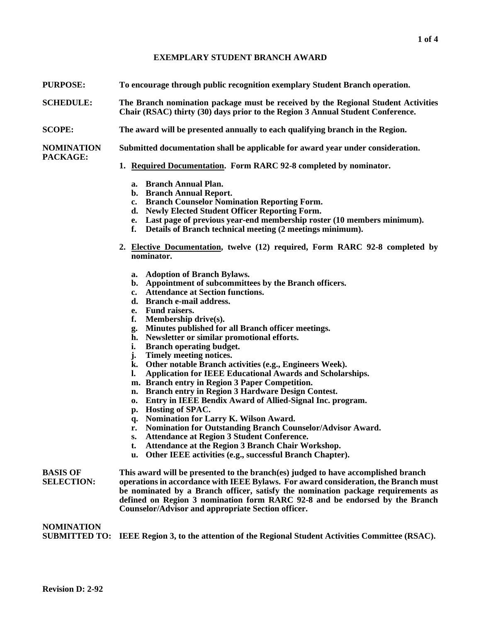#### **EXEMPLARY STUDENT BRANCH AWARD**

- **PURPOSE: To encourage through public recognition exemplary Student Branch operation.**
- **SCHEDULE: The Branch nomination package must be received by the Regional Student Activities Chair (RSAC) thirty (30) days prior to the Region 3 Annual Student Conference.**
- **SCOPE: The award will be presented annually to each qualifying branch in the Region.**

**NOMINATION Submitted documentation shall be applicable for award year under consideration.**

#### **PACKAGE:**

- **1. Required Documentation. Form RARC 92-8 completed by nominator.**
	- **a. Branch Annual Plan.**
	- **b. Branch Annual Report.**
	- **c. Branch Counselor Nomination Reporting Form.**
	- **d. Newly Elected Student Officer Reporting Form.**
	- **e. Last page of previous year-end membership roster (10 members minimum).**
	- **f. Details of Branch technical meeting (2 meetings minimum).**
- **2. Elective Documentation, twelve (12) required, Form RARC 92-8 completed by nominator.**
	- **a. Adoption of Branch Bylaws.**
	- **b. Appointment of subcommittees by the Branch officers.**
	- **c. Attendance at Section functions.**
	- **d. Branch e-mail address.**
	- **e. Fund raisers.**
	- **f. Membership drive(s).**
	- **g. Minutes published for all Branch officer meetings.**
	- **h. Newsletter or similar promotional efforts.**
	- **i. Branch operating budget.**
	- **j. Timely meeting notices.**
	- **k. Other notable Branch activities (e.g., Engineers Week).**
	- **l. Application for IEEE Educational Awards and Scholarships.**
	- **m. Branch entry in Region 3 Paper Competition.**
	- **n. Branch entry in Region 3 Hardware Design Contest.**
	- **o. Entry in IEEE Bendix Award of Allied-Signal Inc. program.**
	- **p. Hosting of SPAC.**
	- **q. Nomination for Larry K. Wilson Award.**
	- **r. Nomination for Outstanding Branch Counselor/Advisor Award.**
	- **s. Attendance at Region 3 Student Conference.**
	- **t. Attendance at the Region 3 Branch Chair Workshop.**
	- **u. Other IEEE activities (e.g., successful Branch Chapter).**

#### **NOMINATION**

**SUBMITTED TO: IEEE Region 3, to the attention of the Regional Student Activities Committee (RSAC).**

**BASIS OF This award will be presented to the branch(es) judged to have accomplished branch SELECTION: operations in accordance with IEEE Bylaws. For award consideration, the Branch must be nominated by a Branch officer, satisfy the nomination package requirements as defined on Region 3 nomination form RARC 92-8 and be endorsed by the Branch Counselor/Advisor and appropriate Section officer.**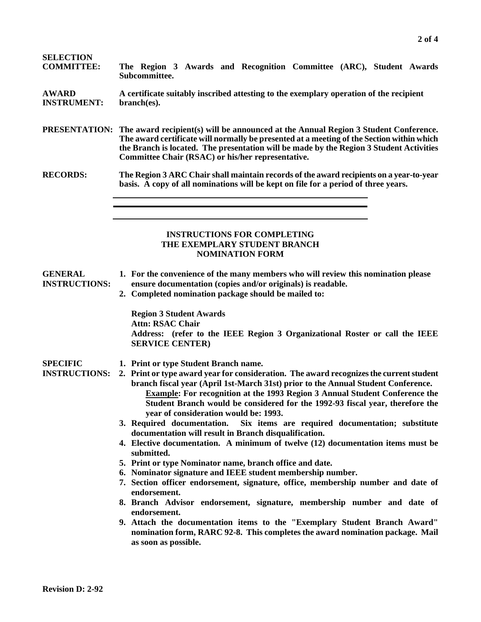| <b>SELECTION</b><br><b>COMMITTEE:</b>   | The Region 3 Awards and Recognition Committee (ARC), Student Awards<br>Subcommittee.                                                                                                                                                                                                                                                                                                                                           |  |  |  |  |  |  |  |
|-----------------------------------------|--------------------------------------------------------------------------------------------------------------------------------------------------------------------------------------------------------------------------------------------------------------------------------------------------------------------------------------------------------------------------------------------------------------------------------|--|--|--|--|--|--|--|
| <b>AWARD</b><br><b>INSTRUMENT:</b>      | A certificate suitably inscribed attesting to the exemplary operation of the recipient<br>branch(es).                                                                                                                                                                                                                                                                                                                          |  |  |  |  |  |  |  |
|                                         | <b>PRESENTATION:</b> The award recipient(s) will be announced at the Annual Region 3 Student Conference.<br>The award certificate will normally be presented at a meeting of the Section within which<br>the Branch is located. The presentation will be made by the Region 3 Student Activities<br>Committee Chair (RSAC) or his/her representative.                                                                          |  |  |  |  |  |  |  |
| <b>RECORDS:</b>                         | The Region 3 ARC Chair shall maintain records of the award recipients on a year-to-year<br>basis. A copy of all nominations will be kept on file for a period of three years.                                                                                                                                                                                                                                                  |  |  |  |  |  |  |  |
|                                         | <b>INSTRUCTIONS FOR COMPLETING</b><br>THE EXEMPLARY STUDENT BRANCH<br><b>NOMINATION FORM</b>                                                                                                                                                                                                                                                                                                                                   |  |  |  |  |  |  |  |
| <b>GENERAL</b><br><b>INSTRUCTIONS:</b>  | 1. For the convenience of the many members who will review this nomination please<br>ensure documentation (copies and/or originals) is readable.<br>2. Completed nomination package should be mailed to:                                                                                                                                                                                                                       |  |  |  |  |  |  |  |
|                                         | <b>Region 3 Student Awards</b><br><b>Attn: RSAC Chair</b><br>Address: (refer to the IEEE Region 3 Organizational Roster or call the IEEE<br><b>SERVICE CENTER)</b>                                                                                                                                                                                                                                                             |  |  |  |  |  |  |  |
| <b>SPECIFIC</b><br><b>INSTRUCTIONS:</b> | 1. Print or type Student Branch name.<br>2. Print or type award year for consideration. The award recognizes the current student<br>branch fiscal year (April 1st-March 31st) prior to the Annual Student Conference.<br>Example: For recognition at the 1993 Region 3 Annual Student Conference the<br>Student Branch would be considered for the 1992-93 fiscal year, therefore the<br>year of consideration would be: 1993. |  |  |  |  |  |  |  |
|                                         | 3. Required documentation.<br>Six items are required documentation; substitute<br>documentation will result in Branch disqualification.<br>4. Elective documentation. A minimum of twelve (12) documentation items must be<br>submitted.                                                                                                                                                                                       |  |  |  |  |  |  |  |
|                                         | 5. Print or type Nominator name, branch office and date.                                                                                                                                                                                                                                                                                                                                                                       |  |  |  |  |  |  |  |
|                                         | 6. Nominator signature and IEEE student membership number.                                                                                                                                                                                                                                                                                                                                                                     |  |  |  |  |  |  |  |
|                                         | 7. Section officer endorsement, signature, office, membership number and date of                                                                                                                                                                                                                                                                                                                                               |  |  |  |  |  |  |  |
|                                         | endorsement.<br>8. Branch Advisor endorsement, signature, membership number and date of<br>endorsement.                                                                                                                                                                                                                                                                                                                        |  |  |  |  |  |  |  |
|                                         | 9. Attach the documentation items to the "Exemplary Student Branch Award"<br>nomination form, RARC 92-8. This completes the award nomination package. Mail<br>as soon as possible.                                                                                                                                                                                                                                             |  |  |  |  |  |  |  |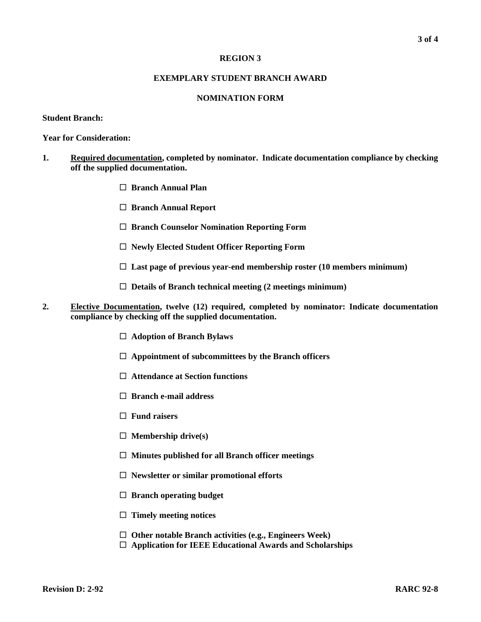#### **REGION 3**

#### **EXEMPLARY STUDENT BRANCH AWARD**

#### **NOMINATION FORM**

#### **Student Branch:**

**Year for Consideration:**

- **1. Required documentation, completed by nominator. Indicate documentation compliance by checking off the supplied documentation.**
	- ˇ **Branch Annual Plan**
	- □ **Branch Annual Report**
	- □ Branch Counselor Nomination Reporting Form
	- □ Newly Elected Student Officer Reporting Form
	- $\Box$  Last page of previous year-end membership roster (10 members minimum)
	- □ Details of Branch technical meeting (2 meetings minimum)
- **2. Elective Documentation, twelve (12) required, completed by nominator: Indicate documentation compliance by checking off the supplied documentation.**
	- □ Adoption of Branch Bylaws
	- $\Box$  Appointment of subcommittees by the Branch officers
	- □ Attendance at Section functions
	- □ **Branch e-mail address**
	- □ Fund raisers
	- □ **Membership drive(s)**
	- □ Minutes published for all Branch officer meetings
	- □ Newsletter or similar promotional efforts
	- □ **Branch operating budget**
	- □ **Timely meeting notices**
	- □ Other notable Branch activities (e.g., Engineers Week)
	- □ Application for IEEE Educational Awards and Scholarships